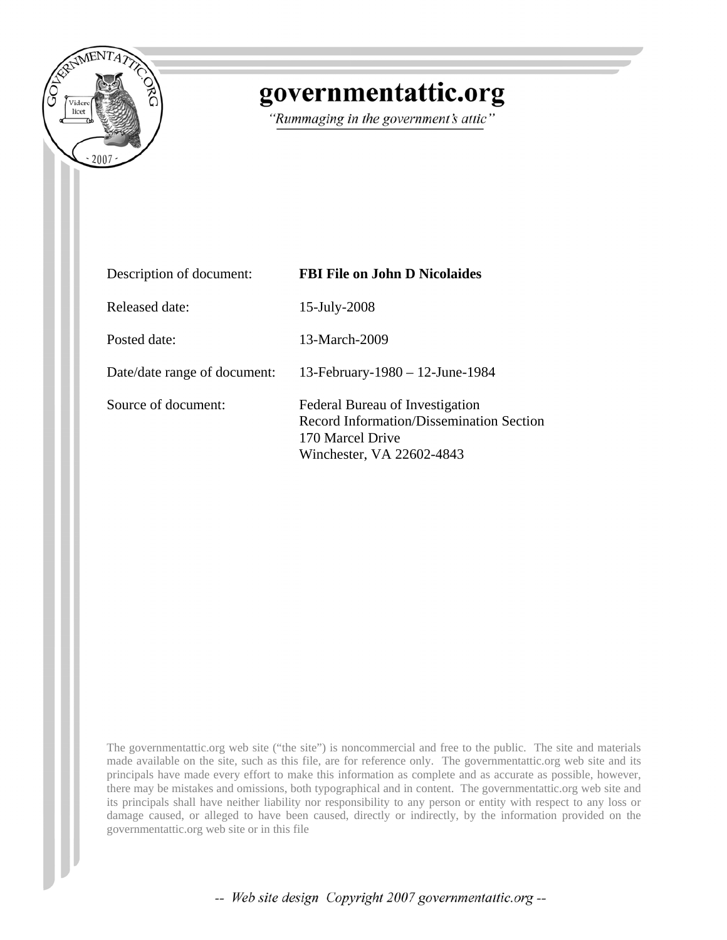

# governmentattic.org

"Rummaging in the government's attic"

| Description of document:     | <b>FBI File on John D Nicolaides</b>                                                                                                |  |
|------------------------------|-------------------------------------------------------------------------------------------------------------------------------------|--|
| Released date:               | 15-July-2008                                                                                                                        |  |
| Posted date:                 | 13-March-2009                                                                                                                       |  |
| Date/date range of document: | 13-February-1980 - 12-June-1984                                                                                                     |  |
| Source of document:          | Federal Bureau of Investigation<br><b>Record Information/Dissemination Section</b><br>170 Marcel Drive<br>Winchester, VA 22602-4843 |  |

The governmentattic.org web site ("the site") is noncommercial and free to the public. The site and materials made available on the site, such as this file, are for reference only. The governmentattic.org web site and its principals have made every effort to make this information as complete and as accurate as possible, however, there may be mistakes and omissions, both typographical and in content. The governmentattic.org web site and its principals shall have neither liability nor responsibility to any person or entity with respect to any loss or damage caused, or alleged to have been caused, directly or indirectly, by the information provided on the governmentattic.org web site or in this file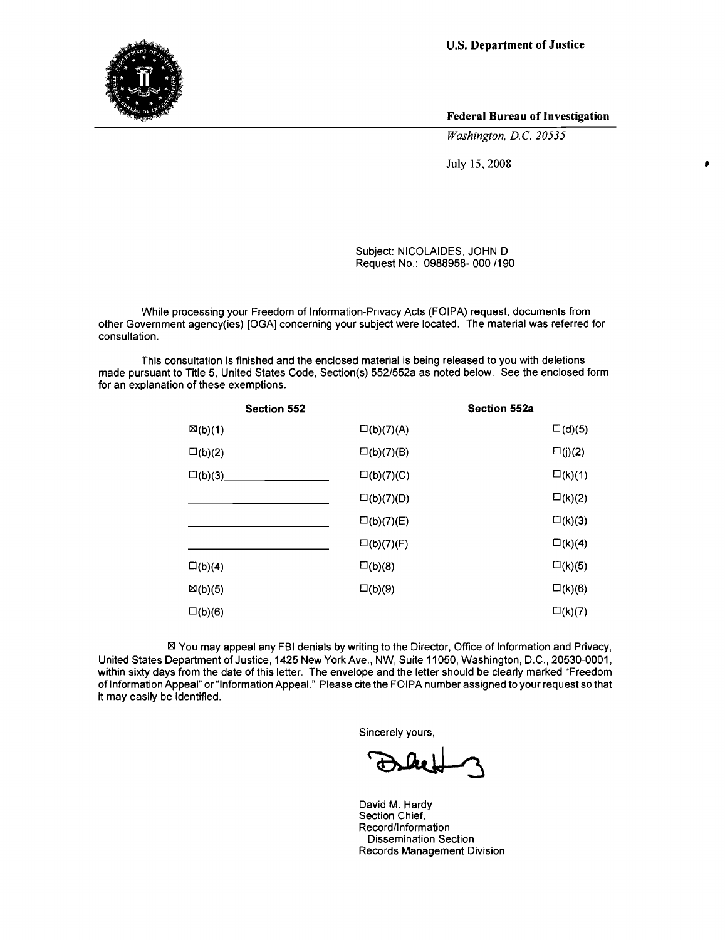U.S. **Department of Justice**



**Federal Bureau of Investigation**

•

*Washington, D.C. 20535*

July 15,2008

Subject: NICOLAIDES, JOHN D Request No.: 0988958- 000 1190

While processing your Freedom of Information-Privacy Acts (FOIPA) request, documents from other Government agency(ies) [OGA] concerning your subject were located. The material was referred for consultation.

This consultation is finished and the enclosed material is being released to you with deletions made pursuant to Title 5, United States Code, Section(s) 552/552a as noted below. See the enclosed form for an explanation of these exemptions.

| <b>Section 552</b> |                     | Section 552a     |
|--------------------|---------------------|------------------|
| $\boxtimes$ (b)(1) | $\square$ (b)(7)(A) | $\square$ (d)(5) |
| $\square$ (b)(2)   | $\square$ (b)(7)(B) | $\square(j)(2)$  |
| $\square$ (b)(3)   | $\square$ (b)(7)(C) | $\square$ (k)(1) |
|                    | $\square$ (b)(7)(D) | $\square$ (k)(2) |
|                    | $\square$ (b)(7)(E) | $\square$ (k)(3) |
|                    | $\square$ (b)(7)(F) | $\square$ (k)(4) |
| $\square(b)(4)$    | $\square(b)(8)$     | $\square$ (k)(5) |
| $\boxtimes$ (b)(5) | $\square$ (b)(9)    | $\square$ (k)(6) |
| $\square$ (b)(6)   |                     | $\square$ (k)(7) |

⊠ You may appeal any FBI denials by writing to the Director, Office of Information and Privacy, United States Department of Justice, 1425 New York Ave., NW, Suite 11050, Washington, D.C., 20530-0001, within sixty days from the date of this letter. The envelope and the letter should be clearly marked "Freedom of Information Appeal" or "Information Appeal." Please cite the FOIPA number assigned to your request so that it may easily be identified.

Sincerely yours,

David M. Hardy Section Chief, Record/Information Dissemination Section Records Management Division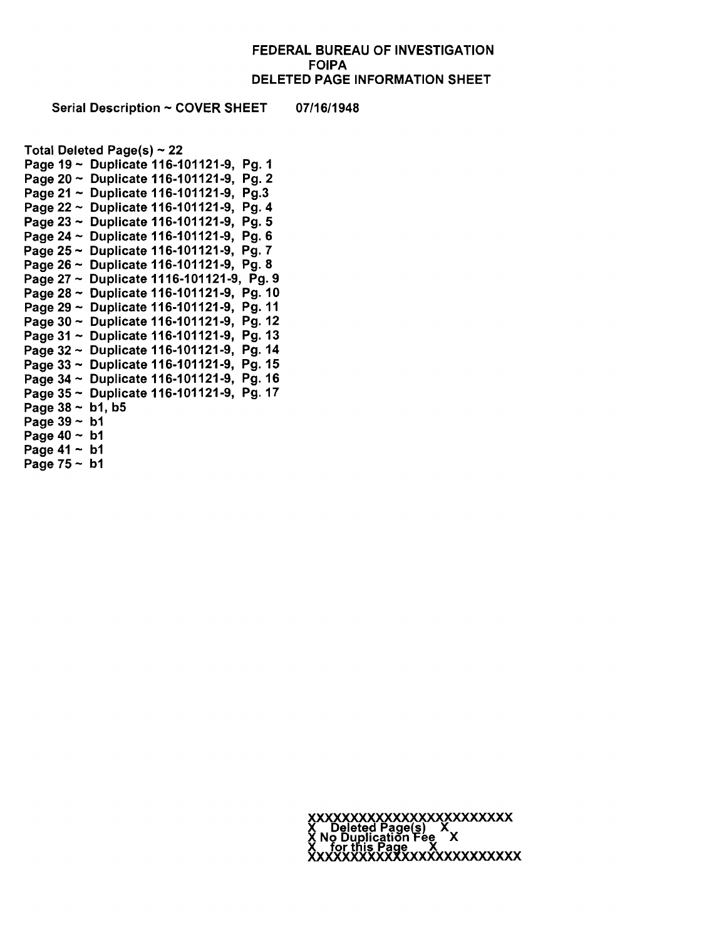### FEDERAL BUREAU OF INVESTIGATION FOIPA DELETED PAGE INFORMATION SHEET

Serial Description ~ COVER SHEET 07/16/1948

Total Deleted Page $(s) \sim 22$ Page 19 - Duplicate 116-101121-9, Pg. 1 Page 21 - Duplicate 116-101121-9, Pg.3 Page 23 ~ Duplicate 116-101121-9, Pg. 5 Page 26 - Duplicate 116-101121-9, Pg.8 Page 27 - Duplicate 1116-101121-9, Pg.9 Page 30 - Duplicate 116-101121-9, Pg.12 Page 31 - Duplicate 116-101121-9, Pg.13 Page 32 - Duplicate 116-101121-9, Pg.14 Page  $38 \sim b1$ , b5 Page  $39 - b1$ Page 40 - b1 Page 41 - b1 Page  $75 - b1$ Page 20 - Duplicate 116-101121-9, Pg. 2 Page 22 - Duplicate 116-101121-9, Pg. 4 Page 24 - Duplicate 116-101121-9, Pg. 6 Page 25 - Duplicate 116-101121-9, Pg. 7 Page 28 - Duplicate 116-101121-9, Pg. 10 Page 29 - Duplicate 116-101121-9, Pg. 11 Page 33 - Duplicate 116-101121-9, Pg. 15 Page 34 - Duplicate 116-101121-9, Pg. 16 Page 35 - Duplicate 116-101121-9, Pg. 17

> X Deleted Pagels) X X No Duplication Fee X  $X$  for this Page  $X$ .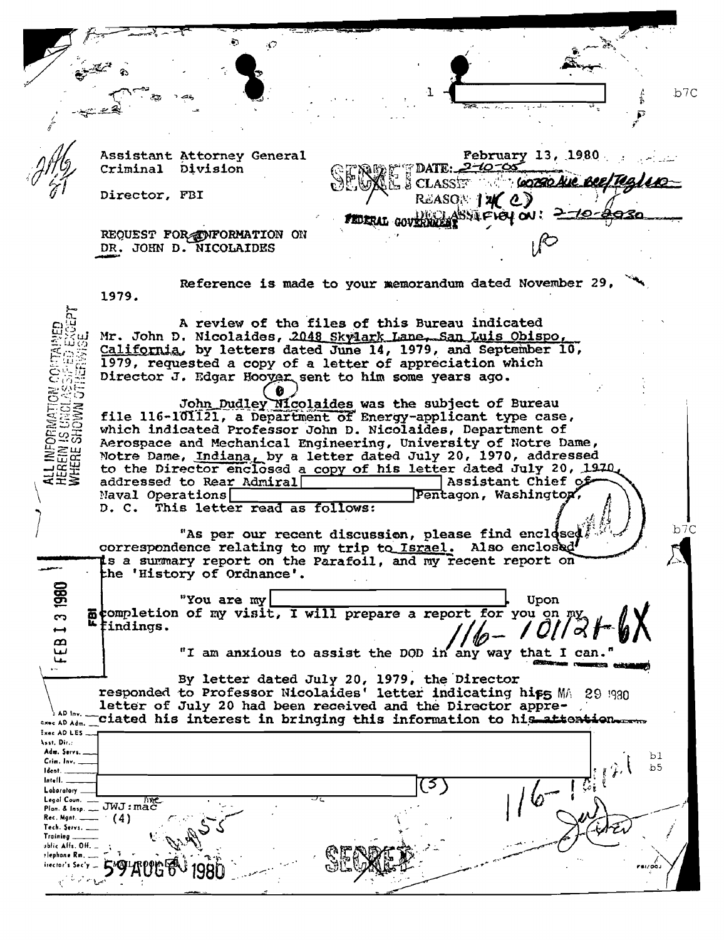**/..'** " ,,~-\_•..--\_.~  $~\frac{1}{2}$  ....  $~\frac{1}{2}$  ....  $~\frac{1}{2}$  $\mathbb{R}^4$  .  $\mathbb{R}$  $\frac{1}{\sqrt{2\pi}}\int_{0}^{\frac{\pi}{2}}\frac{dx}{x}dx$  . Then  $\frac{1}{\sqrt{2\pi}}\int_{0}^{\frac{\pi}{2}}\frac{dx}{(x-x)^{2}}dx$ :~. : b7C • \_"~\_,,,, ~. . *u·,* .• " ..... /<br>/<br>/ Assistant Attorney General<br>Criminal Division **February 13, 1980** DATE: 2-10-05 Criminal **CLASSET THE** <u>stabrab Aue, Been</u> Director, FBI REASON  $\mathcal{U}$  (2) ASSIFICY OU! Z FEDERAL GOVERN REQUEST FOR OWNPORMATION ON DR. JOHN D. NICOLAIDES Reference is made to your memorandum dated November 29, 1979. A review of the files of this Bureau indicated Mr. John D. Nicolaides, 2048 Skylark Lane, San Luis Obispo, California, by letters dated June 14, 1979, and September 10, 1979, requested a copy of a letter of appreciation which Director J. Edgar Hoover sent to him some years ago.  $\frac{1}{2}$ John Dudley Nicolaides was the subject of Bureau šğ file  $116-101121$ , a Department of Energy-applicant type case, which indicated Professor Jolm D. Nicolaides, Department of  $\approx 25$ Aerospace and Mechanical Engineering, University of Notre Dame,  $\geq$   $\mu$ Notre Dame, Indiana, by a letter dated July 20, 1970, addressed **REGE** to the Director enclosed a copy of his letter dated July 20, 1970, addressed to Rear Admiral **Assistant Chief 0** Assistant Chief 0 addressed to Rear Admiral | entitled as island Chief of Maval Operations | entitled as follows:<br>D. C. This letter read as follows: This letter read as follows: "As per our recent discussion, please find enclosed  $f \rightarrow f$  block correspondence relating to my trip to Israel. Also enclosed<sup>1</sup><br>Is a summary report on the Parafoil, and my recent report on -- the 'History of Ordnance'.<br>
Some my wisit, I<br>
are completion of my visit, I<br>
dindings.<br>
"I am anxious to when the completion of my visit, I will prepare a report for you on my  $\mathcal{U}$   $\uparrow$   $\mathcal{U}$ "You are my | Upon "I am anxious to assist the DOD in any way that I can." By letter dated July 20, 1979, the Director responded to Professor Nicolaides' letter indicating hiffs MA 29 !930 Ĭ.  $\sum_{\lambda}$  letter of July 20 had been received and the Director appre- $\frac{100 \text{ hr}}{100 \text{ km} - 2}$  ciated his interest in bringing this information to his attention :X"AD~ES I ~~~t~.D~~.;... . b 1 Crim. In¥', ... t Id.ol. : f. 'I' \b5 Loboratory Pion. & Insp. \_ JWJ:mac (4)<br>Rec, Mgnt. \_\_\_ (4) *r. (4)*<br>Tech. Servs, \_\_ (4) *r. (2) <i>r. (2) r. (2) r. (2) r. (2) r. //* Troining  $\begin{bmatrix} 1 & 0 & 0 \\ 0 & 1 & 0 \\ 0 & 0 & 0 \end{bmatrix}$  $\sum_{\text{bolic half. } \text{OH.}} \sum_{\text{bolic half. } \text{OH.}} \sum_{\text{bolic half. } \text{OH.}} \sum_{\text{cyclic}} \sum_{\text{cyclic}} \sum_{\text{dyclic}} \sum_{\text{dyclic}} \sum_{\text{dyclic}} \sum_{\text{dyclic}} \sum_{\text{dyclic}} \sum_{\text{dyclic}} \sum_{\text{dyclic}} \sum_{\text{dyclic}} \sum_{\text{dyclic}} \sum_{\text{dyclic}} \sum_{\text{dyclic}} \sum_{\text{dyclic}} \sum_{\text{dyclic}} \sum_{\text{dyclic}} \sum_{\text{dyclic}} \sum_{\text{dyclic}} \sum_{\$ :~::~:r~.;;:.mc,";= 5~~fJGfJ '1980 ., ..: -:.. Q:v!t ':. :~'.\_ .. ~:~~ .. ",~ ,..--- '.'.'.~.J . Í  $\mathcal{C} \subseteq \mathcal{C} \subseteq \mathcal{C}$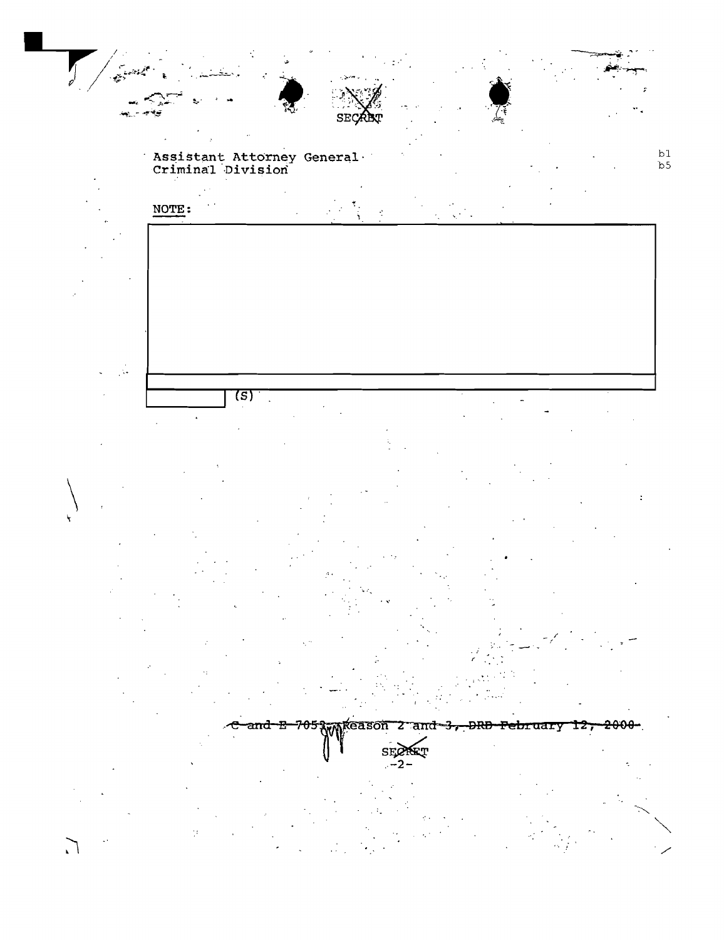

Assistant Attorney General<br>Criminal Division  $b<sub>5</sub>$ 



 $\overline{(s)}$  $\overline{\phantom{a}}$ 



ţ.

 $\Gamma_{\star}$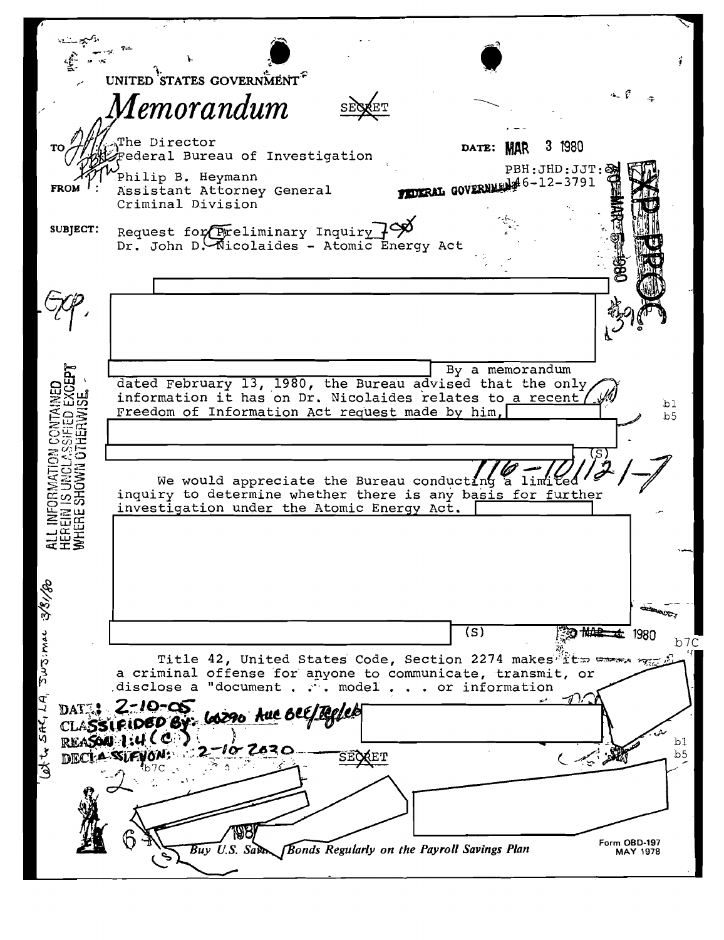UNITED STATES GOVERNMENT<sup>?</sup>  $4.6$ Iemorandum he Director 3 1980 DATE: MAR ederal Bureau of Investigation PBH: JHD: JJT:& Philip B. Heymann **FEDERAL GOVERNMENT 6-12-3791 FROM** Assistant Attorney General Criminal Division Request for Freliminary Inquiry 79 SUBJECT: Dr. John D. Nicolaides - Atomic Energy Act By a memorandum dated February 13, 1980, the Bureau advised that the only information it has on Dr. Nicolaides relates to a recent, ALL INFORMATION CONTAIN<br>HEREIN IS UNCLASSIFIED EX<br>WHERE SHOWN OTHERWISE  $b<sub>1</sub>$ Freedom of Information Act request made by him,  $b<sub>5</sub>$ We would appreciate the Bureau conducting a limited inquiry to determine whether there is any basis for further investigation under the Atomic Energy Act. Bursimac 381/80  $\overline{\text{(s)}}$ 沙地带 本 1980  $b7C$ Title 42, United States Code, Section 2274 makes ftw cares a criminal offense for anyone to communicate, transmit, or disclose a "document . . . model . . . or information at to sAGLA, 2-10-05 DAT<sub>.</sub>! **LOZZO AUC BEE/TE** CLASSIFIDED E REASON 1:4 CC  $b1$ **DECI-A-SIA**  $b<sub>5</sub>$ **SECRET** أبيبير) Form OBD-197<br>MAY 1978  $\overline{Buy}$  U.S. Sam **Bonds Regularly on the Payroll Savings Plan**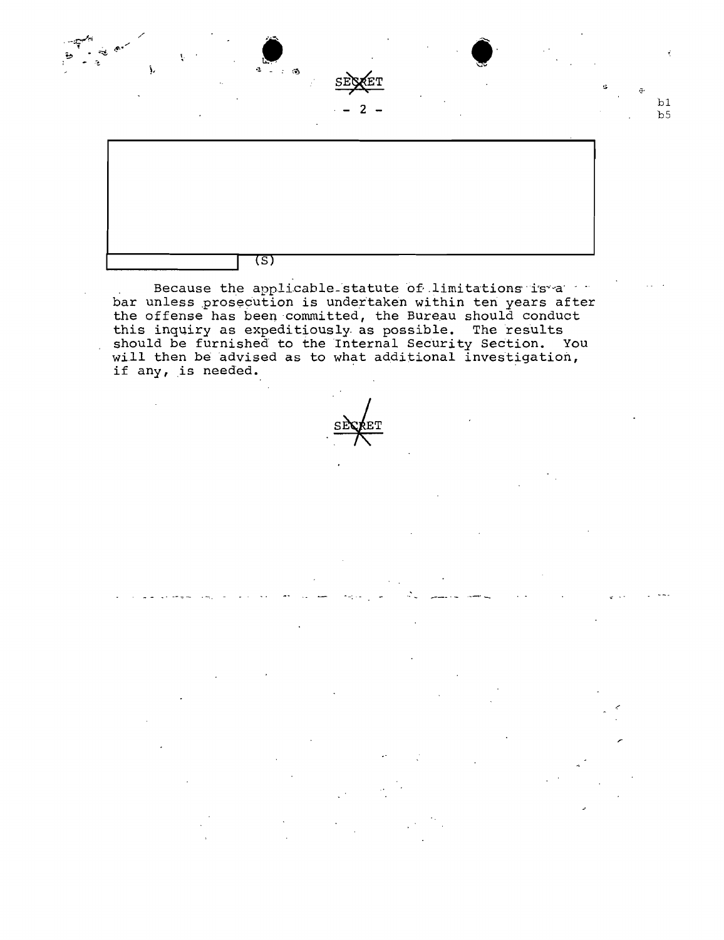

Because the applicable statute of limitations is a bar unless prosecution is undertaken within ten years after the offense has been committed, the Bureau should conduct this inquiry as expeditiously as possible. The results<br>should be furnished to the Internal Security Section. You<br>will then be advised as to what additional investigation, if any, is needed.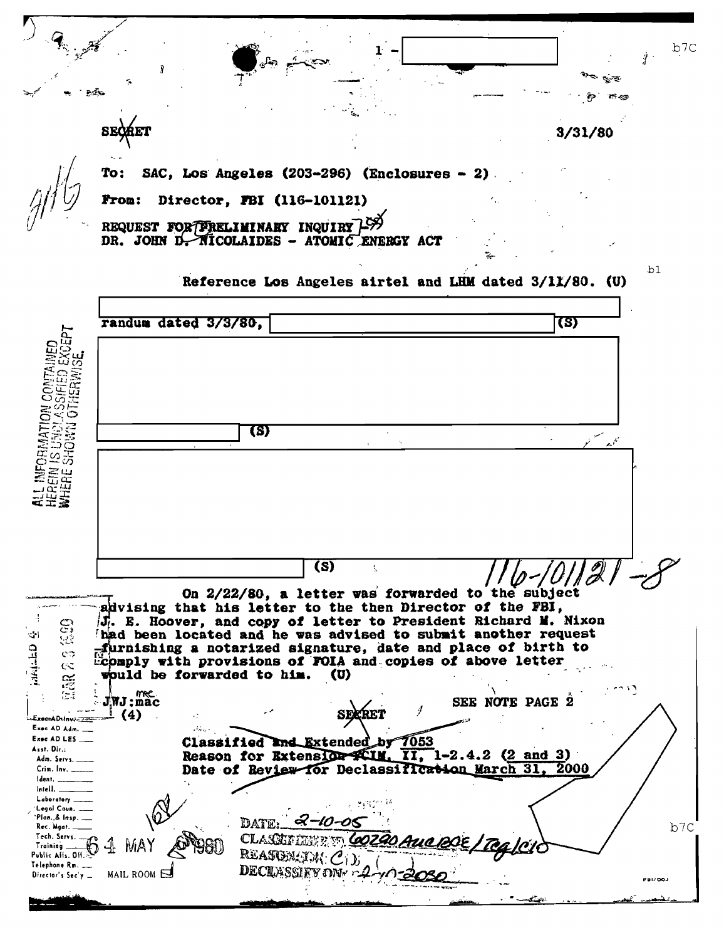$b7C$ 3/31/80 SAC, Los Angeles (203-296) (Enclosures - 2) Director, FBI (116-101121) **Fron:** REQUEST FOR FRELIMINARY INQUIRY 1999 DR. JOHN D. NICOLAIDES - ATOMIC ENERGY ACT  $b1$ Reference Los Angeles airtel and LHM dated 3/11/80. (U) randum dated 3/3/80, (S) ದಿ ನ ់ឆ្ន ũ,  $\bar{C}$ ت (S) öδ  $\overline{\textbf{(s)}}$ On 2/22/80, a letter was forwarded to the subject advising that his letter to the then Director of the FBI, J. E. Hoover, and copy of letter to President Richard M. Nixon දූ had been located and he was advised to submit another request  $\mathcal{L}$ yay **GELER** furnishing a notarized signature, date and place of birth to с¢ Ecomply with provisions of FOIA and copies of above letter  $\infty$ would be forwarded to him.  $(U)$ **AN**  $J$ *NJ*: $\stackrel{m}{\text{mac}}$ SEE NOTE PAGE 2  $\perp$  (4) 43 Exec=AD:Inv:-<del>222</del> Exec AD Adm.  $\mathcal{M}_{\alpha\alpha}$  . Exec AD LES 7053 Classified and Extended by Asst. Dir.: Reason for Extension ACIM. II, 1-2.4.2 (2 and 3) Adm. Servs.  $31.$ 2000 Crim. Inv. \_ Date of Review for Declassification March Ident. latell. Laboratory Legal Coun. "Plan, & Insp. DATE:  $b7c$ Rec. Mgnt. Tech. Servs. **CLASSE** Training \_ Public Alls. Off REASON Telephone Rm. \_\_ **DECLASSIEV OF** MAIL ROOM Director's Sec'y -FBI/DOJ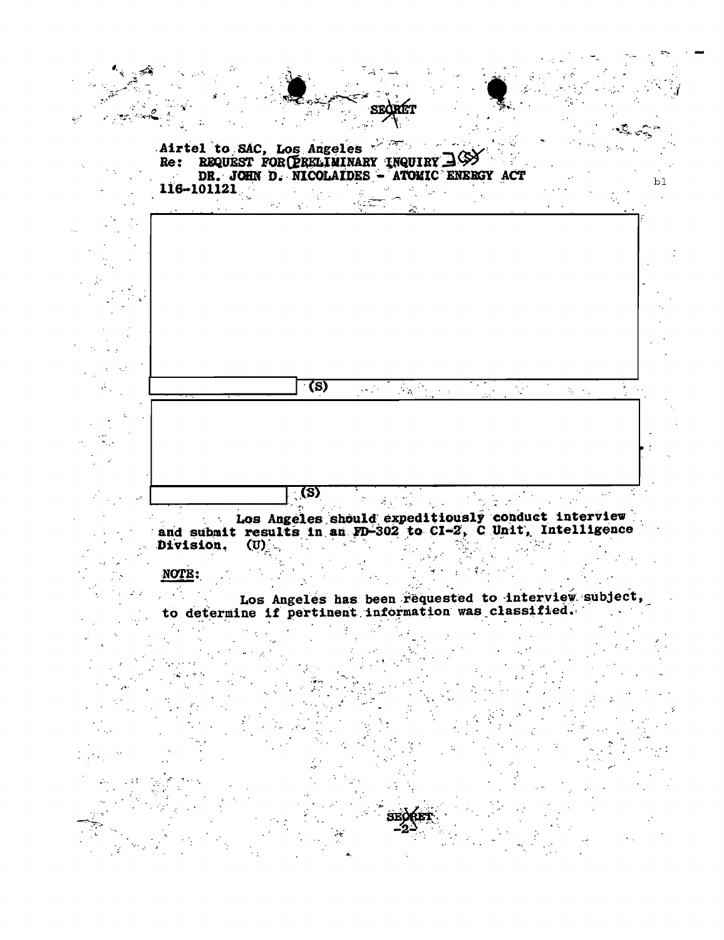

and submit results in an FD-302 to CI-2, C Unit, Intelligence  $(0)$  and  $(0)$ Division.

#### **NOTE:**

 $\mathcal{C}_{\mathcal{A}}$ Los Angeles has been requested to interview subject, to determine if pertinent information was classified.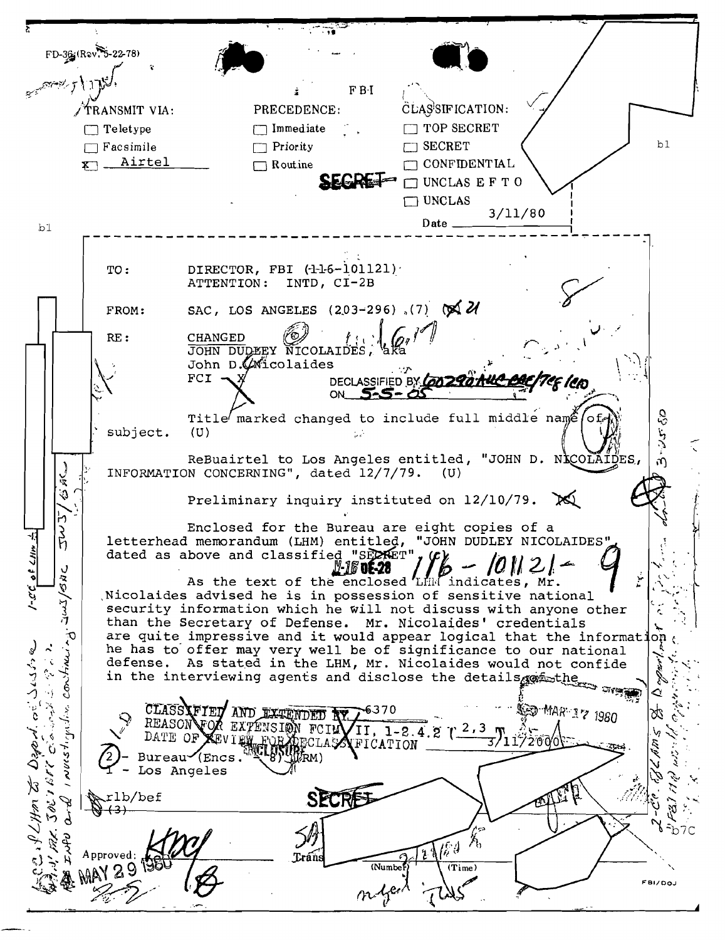$FD-36$   $(Rov. 5-22-78)$  $F B-I$ CLASSIFICATION: PRECEDENCE: TRANSMIT VIA: T TOP SECRET  $\Box$  Teletype  $\Box$  Immediate  $b1$  $\Box$  Facsimile  $\Box$  Priority **TT SECRET** x Airtel  $\Box$  Routine **CONFIDENTIAL**  $\Box$  UNCLAS E F T O  $\Box$  UNCLAS  $3/11/80$ Date.  $b1$ TO: ATTENTION: INTD, CI-2B SAC, LOS ANGELES (203-296), (7)  $\otimes$   $\mathcal{U}$ FROM: **CHANGED** RE: JOHN DUDEEY NICOLAIDES, John D. Wicolaides  $FCI$ . DECLASSIFIED BY CON 2901 ON. Title marked changed to include full middle name of subject.  $(U)$ Ш ReBuairtel to Los Angeles entitled, "JOHN D. NICOLAIDES, INFORMATION CONCERNING", dated 12/7/79. (U) ぶる Preliminary inquiry instituted on 12/10/79. ŀ١ Enclosed for the Bureau are eight copies of a  $\vec{\beta}$ letterhead memorandum (LHM) entitled, "JOHN DUDLEY NICOLAIDES" of LHN dated as above and classified "SECRET" !!-16' 0E-28 つなの As the text of the enclosed LHM indicates, Mr. Nicolaides advised he is in possession of sensitive national 了 security information which he will not discuss with anyone other than the Secretary of Defense. Mr. Nicolaides' credentials are quite impressive and it would appear logical that the information a . PLHm to Dapa d. or Susine he has to offer may very well be of significance to our national Construc defense. As stated in the LHM, Mr. Nicolaides would not confide defense. As stated in the mm, mi. nicolaries and disclose the details profession of the  $\ddot{\cdot}$ ⊴ **EED MAR 17 1980** CLASSAFIED AND EXTENDED AY. ŷ 6370 28 ÷, REASON VON EXTENSION FCINVII, 1-2.4.2 (2,3) DATE OF **ユソエロシュの**の DATE OF KEVIEW FOR APPCLARATION Ú اسلادحه **JOLY BEC** Los Angeles SECF rlb/bef  $(3)$ -b7C l6 9 Į. Approved; (Numbe) (Time FBI/DOJ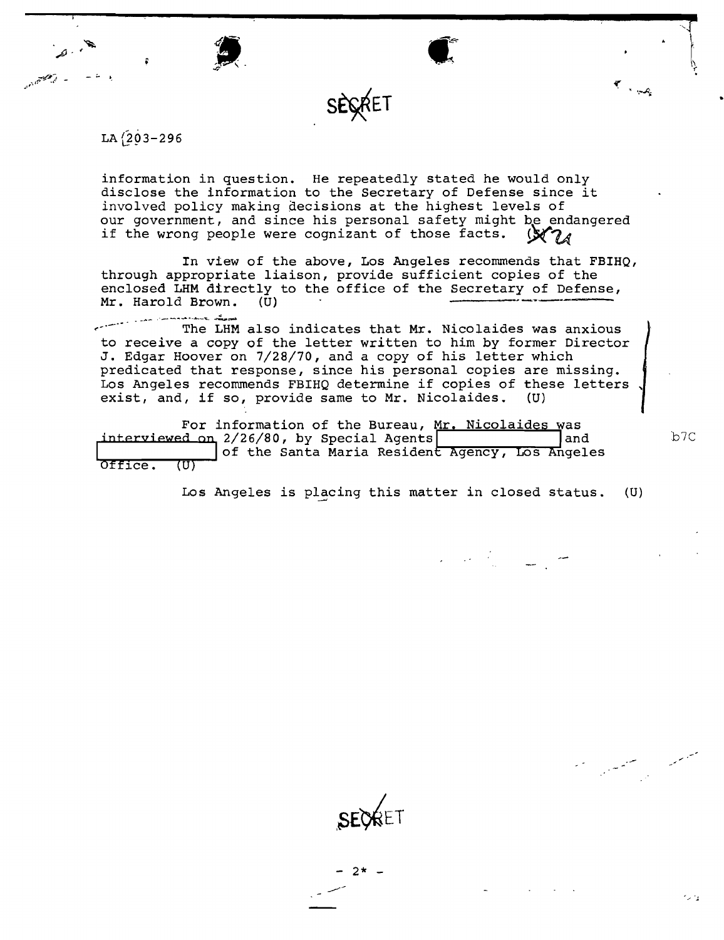



information in question. He repeatedly stated he would only disclose the information to the Secretary of Defense since it involved policy making qecisions at the highest levels of our government, and since his personal safety might be endangered if the wrong people were cognizant of those facts.

SECRET

In view of the above, Los Angeles recommends that FBIHQ, through appropriate liaison, provide sufficient copies of the enclosed LHM directly to the office of the Secretary of Defense,<br>Mr. Harold Brown. (U) Mr. Harold Brown.

~\_.-~~. **The LHM also indicates that Mr. Nicolaides was anxious**  to receive a copy of the letter written to him by former Director J. Edgar Hoover on 7/28/70, and a copy of his letter which predicated that response, since his personal copies are missing. Los Angeles recommends FBIHQ determine if copies of these letters , exist, and, if so, provide same to Mr. Nicolaides. (U)

For information of the Bureau, Mr. Nicolaides was<br>interviewed on 2/26/80, by Special Agents interviewed on 2/26/80, by Special Agents<br>of the Santa Maria Resident Agency, Los Angeles <sup>b7C</sup><br>Office. (U)

Los Angeles is placing this matter in closed status.  $(U)$ 



سيمتع المستحققين

 $\epsilon$  ,  $\omega_{\epsilon}$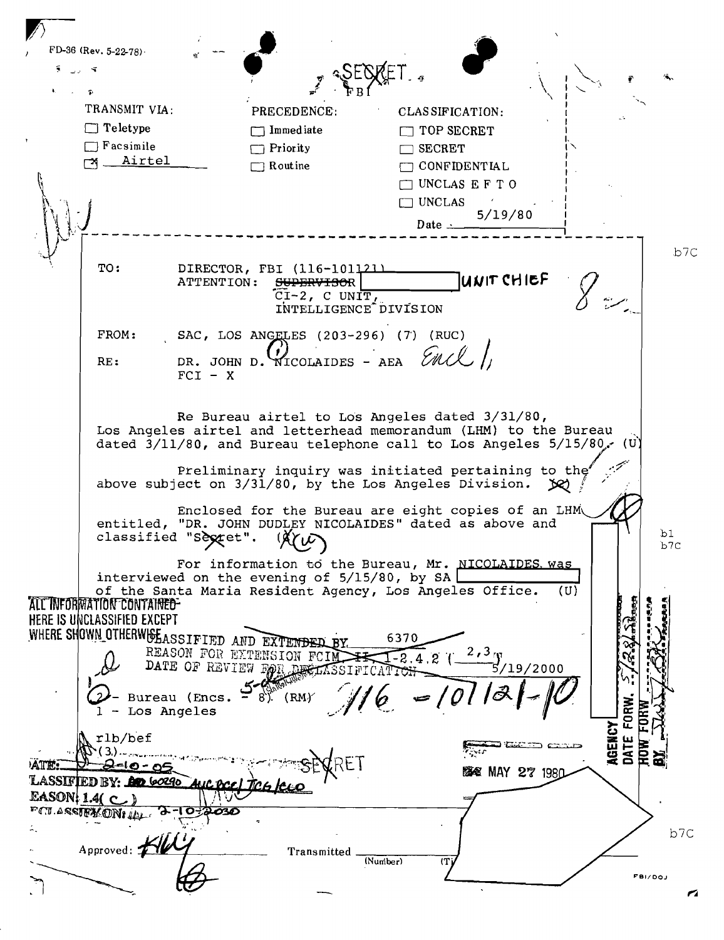$\mathbf{L}$  $FD-36$  (Rev. 5-22-78). e  $\mathbf{i}$   $\mathbf{v}$   $\mathbf{v}$  $\sum_{i}$   $\sum_{i}$   $\sum_{i}$   $\sum_{i}$   $\sum_{i}$   $\sum_{i}$   $\sum_{i}$   $\sum_{i}$   $\sum_{i}$   $\sum_{i}$   $\sum_{i}$   $\sum_{i}$   $\sum_{i}$   $\sum_{i}$   $\sum_{i}$   $\sum_{i}$   $\sum_{i}$   $\sum_{i}$   $\sum_{i}$   $\sum_{i}$   $\sum_{i}$   $\sum_{i}$   $\sum_{i}$   $\sum_{i}$   $\sum_{i}$   $\sum_{i}$   $\sum_{i}$   $\sum_{i$  $\begin{matrix} \cdot & \cdot & \cdot \\ \cdot & \cdot & \cdot \end{matrix}$ . The  $\mathbf{r}$ TRANSMIT VIA: PRECEDENCE: CLASSIFICATION:  $\Box$  Teletype  $\Box$  Immediate  $\Box$  TOP SECRET  $\Box$  Facsimile  $\Box$  Priority  $\Box$  SECRET **Airtel**  $\Box$  Routine **CONFIDENTIAL**  $\sqrt{3}$  $\Box$  UNCLAS EFT 0 ~t  $\Box$  UNCLAS  $Date \cdot \frac{5/19/80}{1}$  $\left\{ \begin{array}{c} \downarrow \ \downarrow \end{array} \right.$ , ,'- -- --------- ----------------------------------- ----- b7C TO: DIRECTOR, FBI (116-101121)<br>ATTENTION: <del>SUPERVISO</del>R SUPERVISOR **International CH ICL**  $\widetilde{\text{CI-2}}$ , C UNIT,  $\overline{\text{INTELLIGENCE}}$  DIVISION  $FROM:$  SAC, LOS ANGELES (203-296) (7) (RUC) RE: DR. JOHN D. NICOLAIDES - AEA  $FCI - X$ Re Bureau airtel to Los Angeles dated 3/31/80, Los Angeles airtel and letterhead memorandum (LHM) to the Bureau. dated  $3/11/80$ , and Bureau telephone call to Los Angeles  $5/15/80$ . (U) preliminary inquiry was initiated pertaining to the above subject on 3/31/80, by the Los Angeles Division. *IX* Enclosed for the Bureau are eight copies of an LHM entitled, "DR. JOHN DUDLEY NICOLAIDES" dated as above and classified "Sextet".  $(X^{\prime}_{V}\mathcal{L})$ bl classified "Sextet". b7C For information to the Bureau, Mr. NICOLAIDES was interviewed on the evening of  $5/15/80$ , by SA of the Santa Maria Resident Agency, Los Angeles Office. (U) ALL INFORMATION CONTAINED-HERE IS UNCLASSIFIED EXCEPT WHERE SHOWN OTHERW& EASSIFIED AND EXTENDED BY.  $\sim$   $\sim$   $\sim$ 6370 :. REASON FOR EXTENSION FCINTTI-2.4.2 (  $\frac{2,3}{\cdot}$  f ., in 1997.<br>Links BATE OF REVIEW FOR RESERVED TO THE 11 TON  $\frac{5/19/2000}{2}$ --;::,,\_\_ - Bureau (Encs.  $-\frac{1}{8}$ ). (RMY  $\frac{1}{\sqrt{6}}$  =  $0$  $|C|-1$ FORW. **AGENCY** rlb/bef DATE .  $\ddot{1}$  $k = 10 - 04$ • =~.J **臨電 MAY 27 1980** LASSIFIED BY: An 60290 EASON: 1.4 $(C)$ FOU ASSIENCENT ILL 072030  $\mathbb{R}^+$ b7C Approved:  $Transmitted$   $\frac{(Number)}{(90 \times 10^{-19})}$  $(N$ umber) FBI/OOJ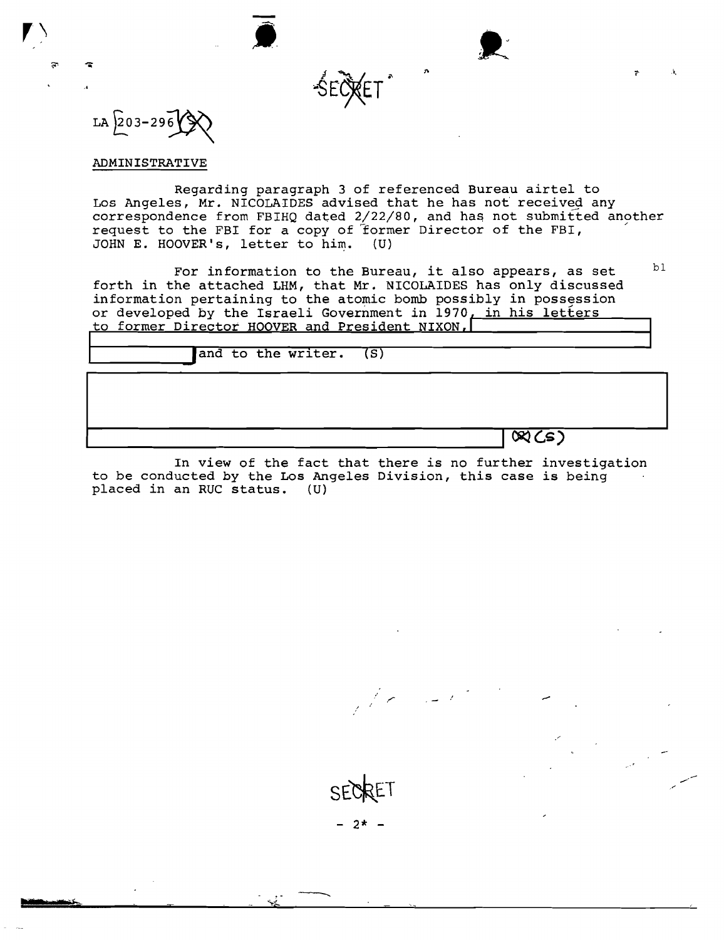

÷

 $\ddot{\bullet}$ 

#### ADMINISTRATIVE

z

Regarding paragraph 3 of referenced Bureau airtel to Los Angeles, Mr. NICOLAIDES advised that he has not received any correspondence from FBIHQ dated 2/22/80, and has not submitted another request to the FBI for a copy of former Director of the FBI, JOHN E. HOOVER's, letter to him. (U)

.i.

For information to the Bureau, it also appears, as set  $b^{\text{th}}$ forth in the attached LHM, that Mr. NICOLAIDES has only discussed information pertaining to the atomic bomb possibly in possession or developed by the Israeli Government in 1970, in his letters to former Director HOOVER and President NIXON,

| and to the writer. (S) |                             |
|------------------------|-----------------------------|
|                        |                             |
|                        |                             |
|                        | $\overline{\mathcal{R}(s)}$ |

In view of the fact that there is no further investigation to be conducted by the Los Angeles Division, this case is being placed in an RUC status. (U)



/

,...

 $- 2* -$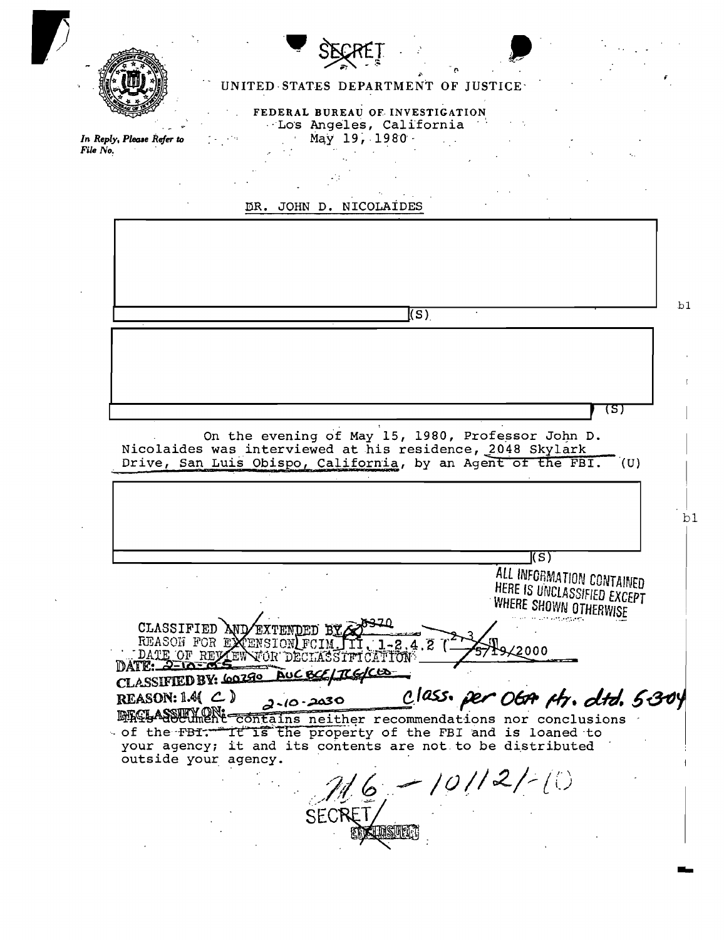

In Reply, Please Refer to

File No.

## UNITED STATES DEPARTMENT OF JUSTICE

FEDERAL BUREAU OF INVESTIGATION Los Angeles, California May 19, 1980 -



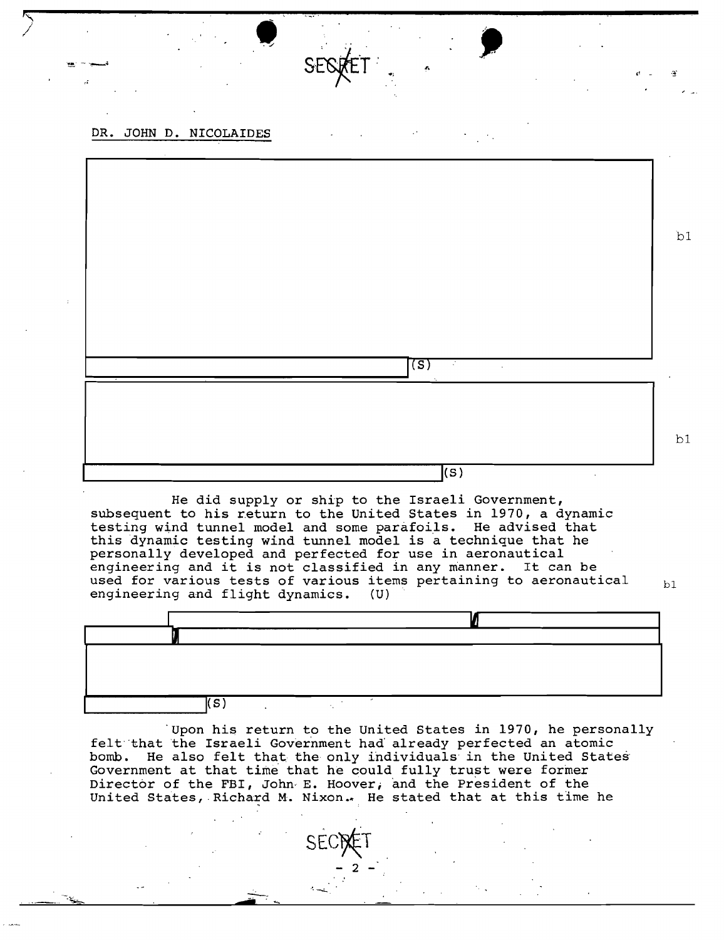DR. JOHN D. NICOLAIDES

,.,

bl (S) bl  $\begin{pmatrix} \mathbf{S} \end{pmatrix}$ 

,:/ , • c!.. .:!:'

He did supply or ship to the Israeli Government, subsequent to his return to the United States in 1970, a dynamic testing wind tunnel model and some parafoils. He advised that this dynamic testing wind tunnel model is a technique that he personally developed and perfected for use in aeronautical engineering and it is not classified in any manner. It can be used for various tests of various items pertaining to aeronautical  $b1$ <br>engineering and flight dynamics. (U) engineering and flight dynamics.



Upon his return to the United States in 1970, he personally felt 'that the Israeli Government had' already perfected an atomic bomb. He also felt that, the only individuals in the United States' Government at that time that he could fully trust were former Director of the FBI, John, E. Hoover; and the President of the United States, Richard M. Nixon. He stated that at this time he

 $\sim$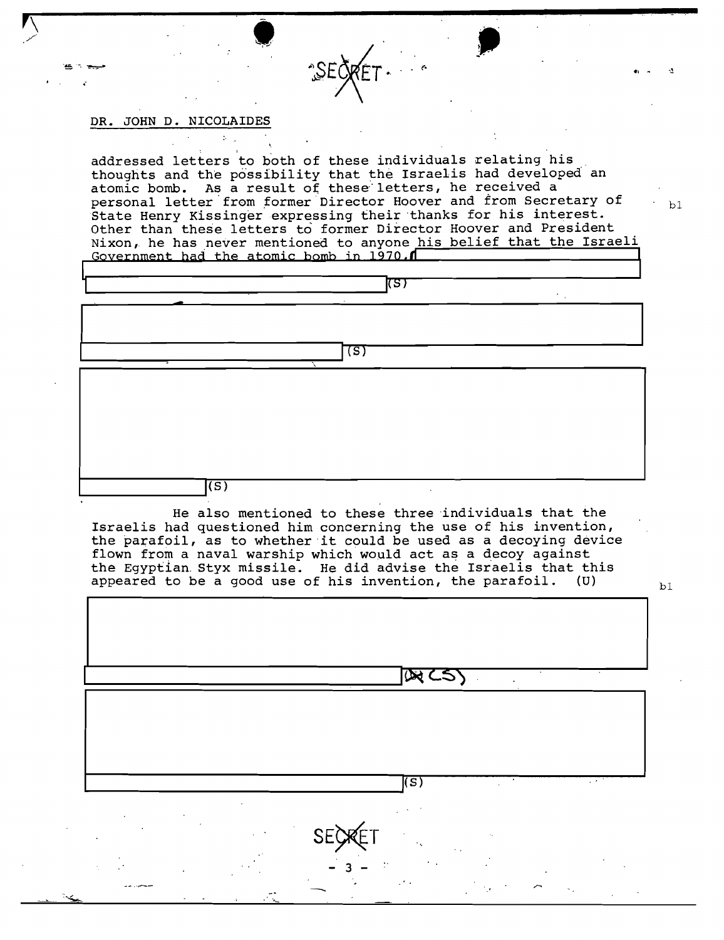DR. JOHN D. NICOLAIDES

addressed letters to both of these individuals relating his thoughts and the possibility that the Israelis had developed an atomic bomb. As a result of these letters, he received a personal letter from former Director Hoover and from Secretary of State Henry Kissinger expressing their thanks for his interest. Other than these letters to former Director Hoover and President Nixon, he has never mentioned to anyone his belief that the Israeli Government had the atomic bomb in 1970.



He also mentioned to these three individuals that the Israelis had questioned him concerning the use of his invention, the parafoil, as to whether it could be used as a decoying device flown from a naval warship which would act as a decoy against the Egyptian Styx missile. He did advise the Israelis that this appeared to be a good use of his invention, the parafoil. (U) -

**DECSY** 

's)

 $b1$ 

 $b1$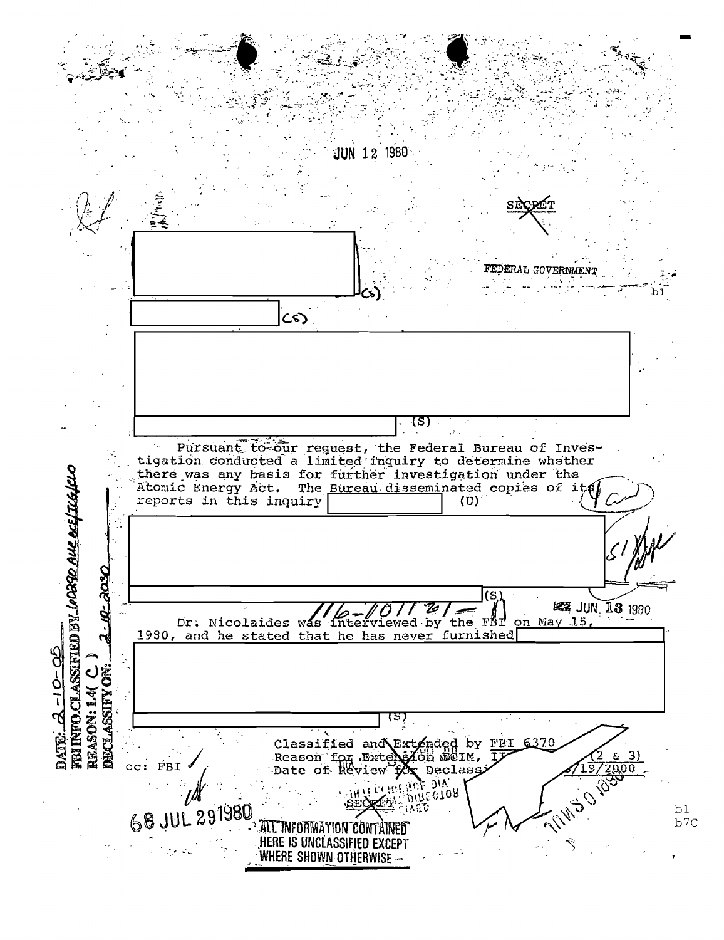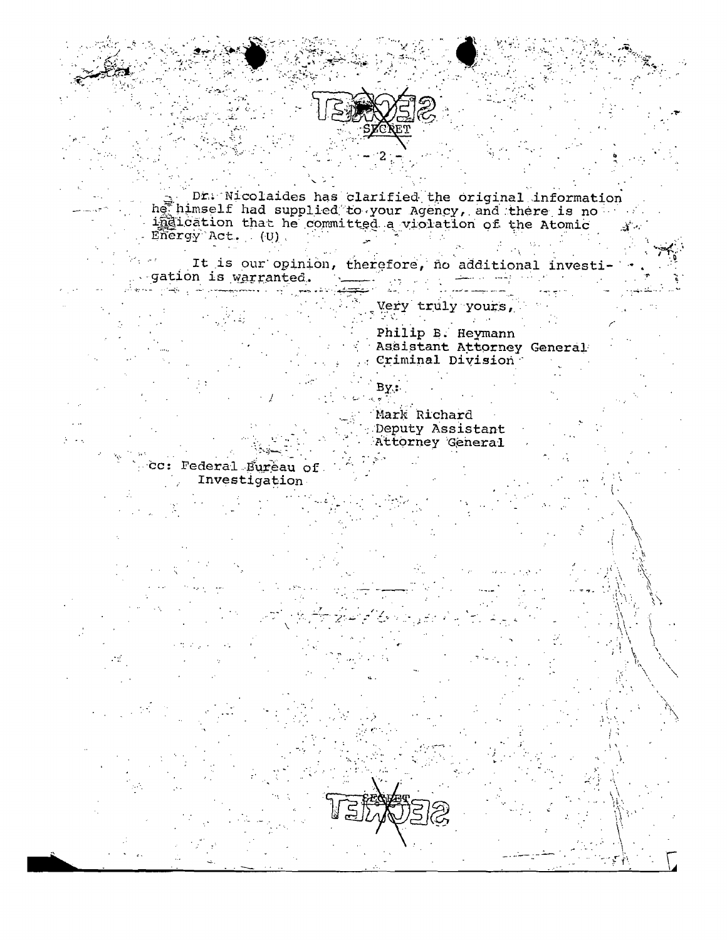

Dr. Nicolaides has clarified the original information<br>het himself had supplied to your Agency, and there is no<br>indication that he committed a violation of the Atomic  $\widetilde{\text{Energy}}$  Act. (U).

It is our opinion, therefore, no additional investi gation is warranted.  $\sum_{\substack{ \mathbf{y} \in \mathcal{X}^{\mathcal{X}^{\mathcal{X}}}_{\mathcal{X}^{\mathcal{X}}_{\mathcal{X}} \cap \mathcal{X}^{\mathcal{X}}_{\mathcal{X}^{\mathcal{X}}_{\mathcal{X}}}}}\rho_{\mathcal{X}^{\mathcal{X}^{\mathcal{X}}_{\mathcal{X}}}}(\mathcal{X})}$ 

Very truly yours,

Philip B. Heymann Assistant Attorney General Criminal Division

By.: Mark Richard Deputy Assistant Attorney General

cc: Federal Bureau of Investigation

 $\mathbf{r}$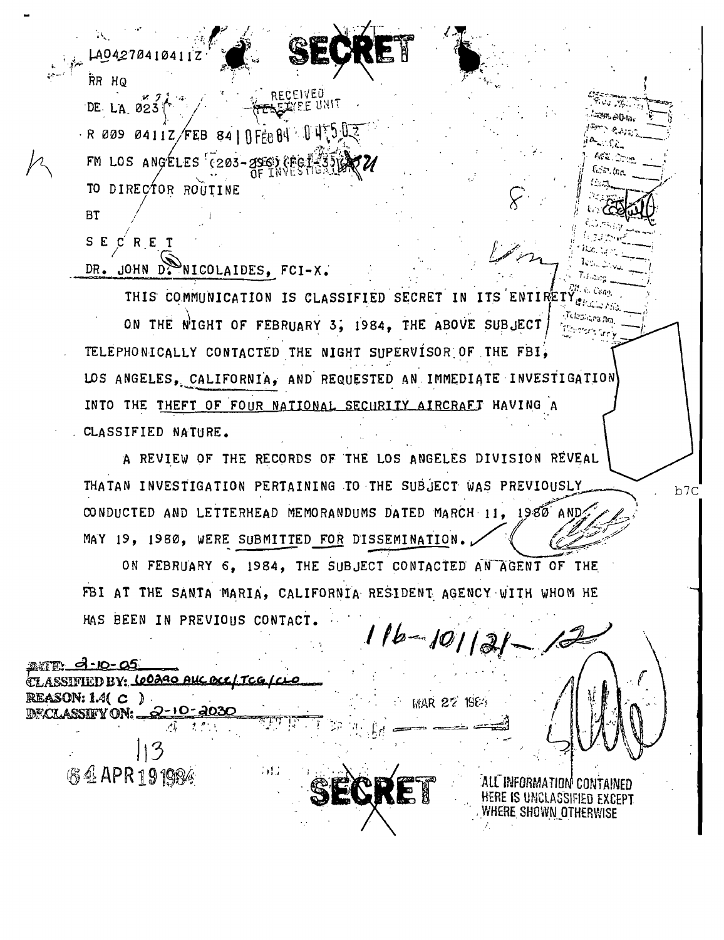A0427041041

RR HO DE LA 023  $R$  009 0411Z/FEB 84 | RFFB 84 U U C FM LOS ANGELES (203-296 TO DIRECTOR ROUTINE

**BT** 

SECRET DR. JOHN DENICOLAIDES, FCI-X.

THIS COMMUNICATION IS CLASSIFIED SECRET IN ITS ENTIRETY ON THE NIGHT OF FEBRUARY 3, 1984, THE ABOVE SUBJECT TELEPHONICALLY CONTACTED THE NIGHT SUPERVISOR OF THE FBI, LOS ANGELES, CALIFORNIA, AND REQUESTED AN IMMEDIATE INVESTIGATION INTO THE THEFT OF FOUR NATIONAL SECURITY AIRCRAFT HAVING A CLASSIFIED NATURE.

A REVIEW OF THE RECORDS OF THE LOS ANGELES DIVISION REVEAL THATAN INVESTIGATION PERTAINING TO THE SUBJECT WAS PREVIOUSLY CONDUCTED AND LETTERHEAD MEMORANDUMS DATED MARCH 11, 1980 AND MAY 19, 1980, WERE SUBMITTED FOR DISSEMINATION.

ON FEBRUARY 6, 1984, THE SUBJECT CONTACTED AN AGENT OF THE FBI AT THE SANTA MARIA, CALIFORNIA RESIDENT AGENCY WITH WHOM HE HAS BEEN IN PREVIOUS CONTACT.

 $16 - 101$ 

**MAR 27 1984** 

<u> 10-05 AS </u> SSIFIED BY: CO230 AUC OCC/TCG/CL  $REASON: 1.4(C)$ DECLASSIFY ON: 2-10-2031 **伤生APR191984** . . . .

INFORMATION **CONTAINED** HERE IS UNCLASSIFIED EXCEPT where shown otherwise

ም ልቤ።

b7C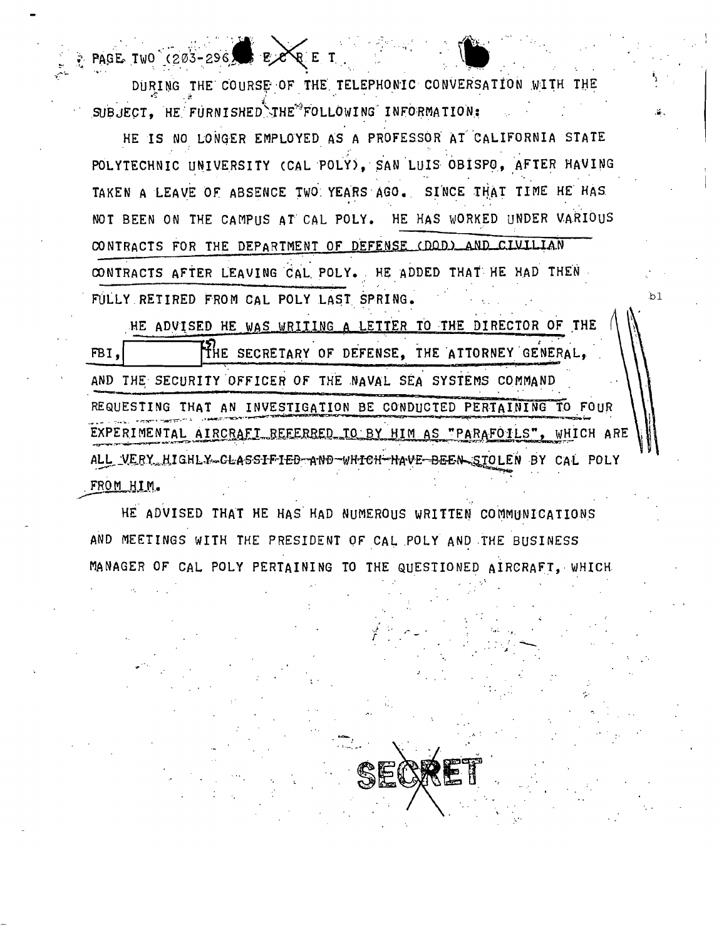DURING THE COURSE OF THE TELEPHONIC CONVERSATION WITH THE SUBJECT. HE FURNISHED THE FOLLOWING INFORMATION:

**QET** 

PAGE TWO (203-296)

HE IS NO LONGER EMPLOYED AS A PROFESSOR AT CALIFORNIA STATE POLYTECHNIC UNIVERSITY (CAL POLY), SAN LUIS OBISPO, AFTER HAVING TAKEN A LEAVE OF ABSENCE TWO YEARS AGO. SINCE THAT TIME HE HAS NOT BEEN ON THE CAMPUS AT CAL POLY. HE HAS WORKED UNDER VARIOUS CONTRACTS FOR THE DEPARTMENT OF DEFENSE (DOD) AND CIVILIAN CONTRACTS AFTER LEAVING CAL POLY. HE ADDED THAT HE HAD THEN FULLY RETIRED FROM CAL POLY LAST SPRING.

HE ADVISED HE WAS WRITING A LETTER TO THE DIRECTOR OF THE THE SECRETARY OF DEFENSE, THE ATTORNEY GENERAL, FBI. AND THE SECURITY OFFICER OF THE NAVAL SEA SYSTEMS COMMAND REQUESTING THAT AN INVESTIGATION BE CONDUCTED PERTAINING TO FOUR EXPERIMENTAL AIRCRAFT REFERRED TO BY HIM AS "PARAFOILS", WHICH ARE ALL\_VERY\_HIGHLY\_CLASSIFIED-AND-WHICH-HAVE-BEEN\_SIOLEN BY CAL POLY FROM HIM.

'n1

HE ADVISED THAT HE HAS HAD NUMEROUS WRITTEN COMMUNICATIONS AND MEETINGS WITH THE PRESIDENT OF CAL POLY AND THE BUSINESS MANAGER OF CAL POLY PERTAINING TO THE QUESTIONED AIRCRAFT, WHICH